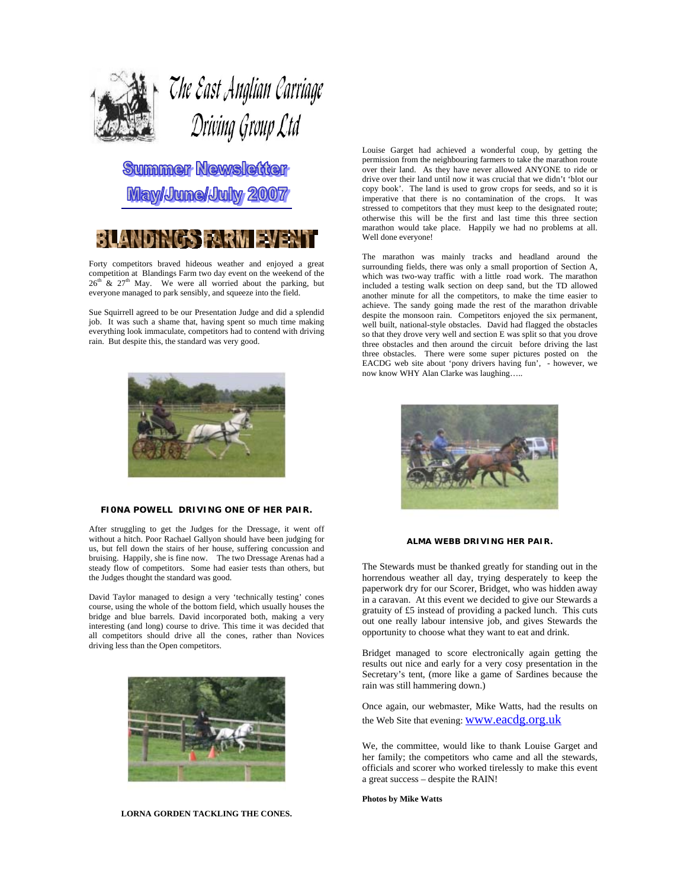

# The East Anglian Carriage Driving Group Ltd

**Summer Newsletter May/June/July 2007** 



Forty competitors braved hideous weather and enjoyed a great competition at Blandings Farm two day event on the weekend of the  $26<sup>th</sup>$  &  $27<sup>th</sup>$  May. We were all worried about the parking, but everyone managed to park sensibly, and squeeze into the field.

Sue Squirrell agreed to be our Presentation Judge and did a splendid job. It was such a shame that, having spent so much time making everything look immaculate, competitors had to contend with driving rain. But despite this, the standard was very good.



#### **FI0NA POWELL DRIVING ONE OF HER PAIR.**

After struggling to get the Judges for the Dressage, it went off without a hitch. Poor Rachael Gallyon should have been judging for us, but fell down the stairs of her house, suffering concussion and bruising. Happily, she is fine now. The two Dressage Arenas had a steady flow of competitors. Some had easier tests than others, but the Judges thought the standard was good.

David Taylor managed to design a very 'technically testing' cones course, using the whole of the bottom field, which usually houses the bridge and blue barrels. David incorporated both, making a very interesting (and long) course to drive. This time it was decided that all competitors should drive all the cones, rather than Novices driving less than the Open competitors.



**LORNA GORDEN TACKLING THE CONES.** 

Louise Garget had achieved a wonderful coup, by getting the permission from the neighbouring farmers to take the marathon route over their land. As they have never allowed ANYONE to ride or drive over their land until now it was crucial that we didn't 'blot our copy book'. The land is used to grow crops for seeds, and so it is imperative that there is no contamination of the crops. It was stressed to competitors that they must keep to the designated route; otherwise this will be the first and last time this three section marathon would take place. Happily we had no problems at all. Well done everyone!

The marathon was mainly tracks and headland around the surrounding fields, there was only a small proportion of Section A, which was two-way traffic with a little road work. The marathon included a testing walk section on deep sand, but the TD allowed another minute for all the competitors, to make the time easier to achieve. The sandy going made the rest of the marathon drivable despite the monsoon rain. Competitors enjoyed the six permanent, well built, national-style obstacles. David had flagged the obstacles so that they drove very well and section E was split so that you drove three obstacles and then around the circuit before driving the last three obstacles. There were some super pictures posted on the EACDG web site about 'pony drivers having fun', - however, we now know WHY Alan Clarke was laughing…..



#### **ALMA WEBB DRIVING HER PAIR.**

The Stewards must be thanked greatly for standing out in the horrendous weather all day, trying desperately to keep the paperwork dry for our Scorer, Bridget, who was hidden away in a caravan. At this event we decided to give our Stewards a gratuity of £5 instead of providing a packed lunch. This cuts out one really labour intensive job, and gives Stewards the opportunity to choose what they want to eat and drink.

Bridget managed to score electronically again getting the results out nice and early for a very cosy presentation in the Secretary's tent, (more like a game of Sardines because the rain was still hammering down.)

Once again, our webmaster, Mike Watts, had the results on the Web Site that evening: www.eacdg.org.uk

We, the committee, would like to thank Louise Garget and her family; the competitors who came and all the stewards, officials and scorer who worked tirelessly to make this event a great success – despite the RAIN!

**Photos by Mike Watts**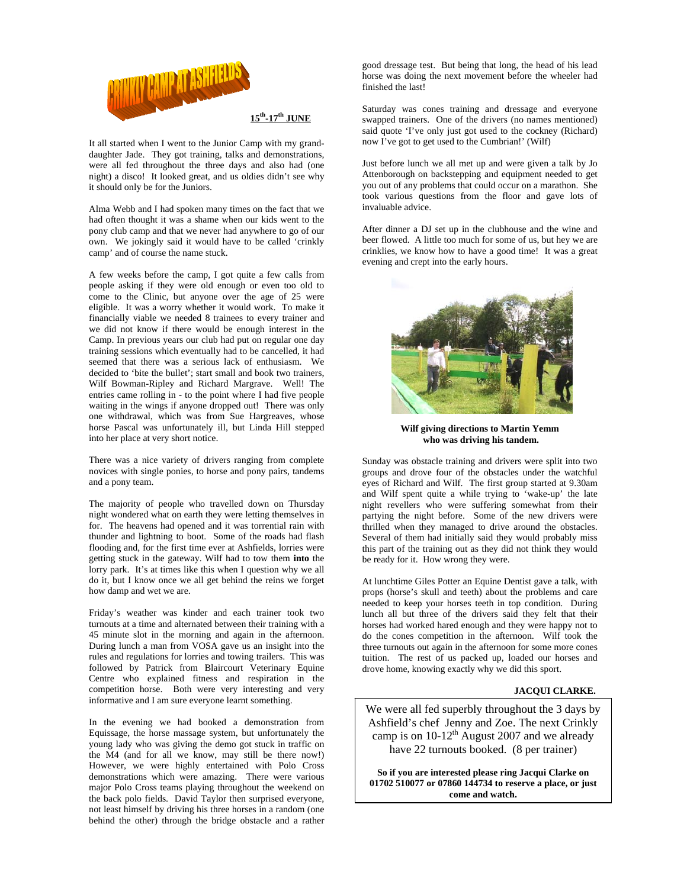

It all started when I went to the Junior Camp with my granddaughter Jade. They got training, talks and demonstrations, were all fed throughout the three days and also had (one night) a disco! It looked great, and us oldies didn't see why it should only be for the Juniors.

Alma Webb and I had spoken many times on the fact that we had often thought it was a shame when our kids went to the pony club camp and that we never had anywhere to go of our own. We jokingly said it would have to be called 'crinkly camp' and of course the name stuck.

A few weeks before the camp, I got quite a few calls from people asking if they were old enough or even too old to come to the Clinic, but anyone over the age of 25 were eligible. It was a worry whether it would work. To make it financially viable we needed 8 trainees to every trainer and we did not know if there would be enough interest in the Camp. In previous years our club had put on regular one day training sessions which eventually had to be cancelled, it had seemed that there was a serious lack of enthusiasm. We decided to 'bite the bullet'; start small and book two trainers, Wilf Bowman-Ripley and Richard Margrave. Well! The entries came rolling in - to the point where I had five people waiting in the wings if anyone dropped out! There was only one withdrawal, which was from Sue Hargreaves, whose horse Pascal was unfortunately ill, but Linda Hill stepped into her place at very short notice.

There was a nice variety of drivers ranging from complete novices with single ponies, to horse and pony pairs, tandems and a pony team.

The majority of people who travelled down on Thursday night wondered what on earth they were letting themselves in for. The heavens had opened and it was torrential rain with thunder and lightning to boot. Some of the roads had flash flooding and, for the first time ever at Ashfields, lorries were getting stuck in the gateway. Wilf had to tow them **into** the lorry park. It's at times like this when I question why we all do it, but I know once we all get behind the reins we forget how damp and wet we are.

Friday's weather was kinder and each trainer took two turnouts at a time and alternated between their training with a 45 minute slot in the morning and again in the afternoon. During lunch a man from VOSA gave us an insight into the rules and regulations for lorries and towing trailers. This was followed by Patrick from Blaircourt Veterinary Equine Centre who explained fitness and respiration in the competition horse. Both were very interesting and very informative and I am sure everyone learnt something.

In the evening we had booked a demonstration from Equissage, the horse massage system, but unfortunately the young lady who was giving the demo got stuck in traffic on the M4 (and for all we know, may still be there now!) However, we were highly entertained with Polo Cross demonstrations which were amazing. There were various major Polo Cross teams playing throughout the weekend on the back polo fields. David Taylor then surprised everyone, not least himself by driving his three horses in a random (one behind the other) through the bridge obstacle and a rather good dressage test. But being that long, the head of his lead horse was doing the next movement before the wheeler had finished the last!

Saturday was cones training and dressage and everyone swapped trainers. One of the drivers (no names mentioned) said quote 'I've only just got used to the cockney (Richard) now I've got to get used to the Cumbrian!' (Wilf)

Just before lunch we all met up and were given a talk by Jo Attenborough on backstepping and equipment needed to get you out of any problems that could occur on a marathon. She took various questions from the floor and gave lots of invaluable advice.

After dinner a DJ set up in the clubhouse and the wine and beer flowed. A little too much for some of us, but hey we are crinklies, we know how to have a good time! It was a great evening and crept into the early hours.



**Wilf giving directions to Martin Yemm who was driving his tandem.** 

Sunday was obstacle training and drivers were split into two groups and drove four of the obstacles under the watchful eyes of Richard and Wilf. The first group started at 9.30am and Wilf spent quite a while trying to 'wake-up' the late night revellers who were suffering somewhat from their partying the night before. Some of the new drivers were thrilled when they managed to drive around the obstacles. Several of them had initially said they would probably miss this part of the training out as they did not think they would be ready for it. How wrong they were.

At lunchtime Giles Potter an Equine Dentist gave a talk, with props (horse's skull and teeth) about the problems and care needed to keep your horses teeth in top condition. During lunch all but three of the drivers said they felt that their horses had worked hared enough and they were happy not to do the cones competition in the afternoon. Wilf took the three turnouts out again in the afternoon for some more cones tuition. The rest of us packed up, loaded our horses and drove home, knowing exactly why we did this sport.

#### **JACQUI CLARKE.**

We were all fed superbly throughout the 3 days by Ashfield's chef Jenny and Zoe. The next Crinkly camp is on  $10-12^{th}$  August 2007 and we already have 22 turnouts booked. (8 per trainer)

**So if you are interested please ring Jacqui Clarke on 01702 510077 or 07860 144734 to reserve a place, or just come and watch.**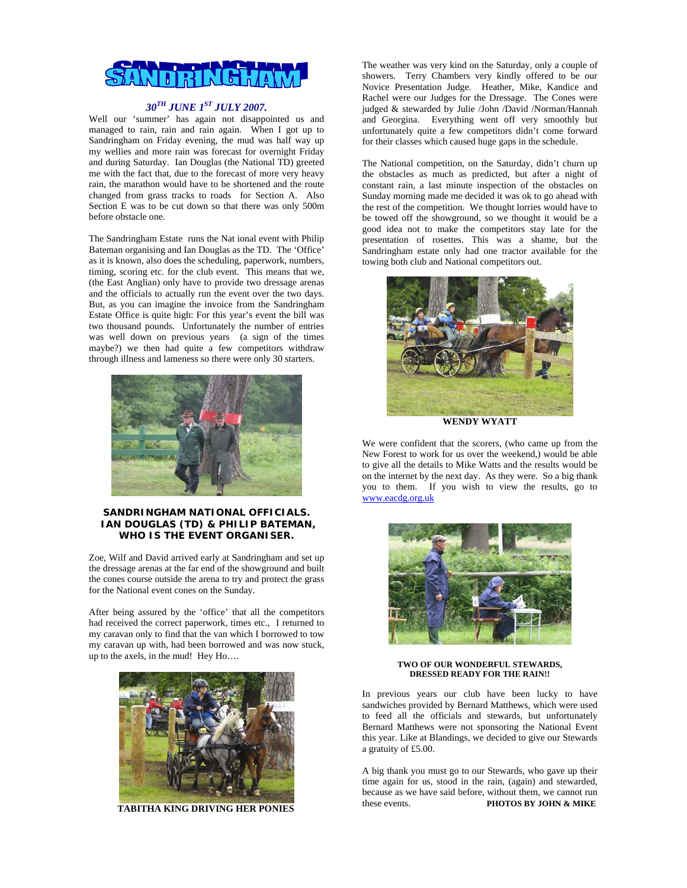

### *30TH JUNE 1ST JULY 2007.*

Well our 'summer' has again not disappointed us and managed to rain, rain and rain again. When I got up to Sandringham on Friday evening, the mud was half way up my wellies and more rain was forecast for overnight Friday and during Saturday. Ian Douglas (the National TD) greeted me with the fact that, due to the forecast of more very heavy rain, the marathon would have to be shortened and the route changed from grass tracks to roads for Section A. Also Section E was to be cut down so that there was only 500m before obstacle one.

The Sandringham Estate runs the Nat ional event with Philip Bateman organising and Ian Douglas as the TD. The 'Office' as it is known, also does the scheduling, paperwork, numbers, timing, scoring etc. for the club event. This means that we, (the East Anglian) only have to provide two dressage arenas and the officials to actually run the event over the two days. But, as you can imagine the invoice from the Sandringham Estate Office is quite high: For this year's event the bill was two thousand pounds. Unfortunately the number of entries was well down on previous years (a sign of the times maybe?) we then had quite a few competitors withdraw through illness and lameness so there were only 30 starters.



#### **SANDRINGHAM NATIONAL OFFICIALS. IAN DOUGLAS (TD) & PHILIP BATEMAN, WHO IS THE EVENT ORGANISER.**

Zoe, Wilf and David arrived early at Sandringham and set up the dressage arenas at the far end of the showground and built the cones course outside the arena to try and protect the grass for the National event cones on the Sunday.

After being assured by the 'office' that all the competitors had received the correct paperwork, times etc., I returned to my caravan only to find that the van which I borrowed to tow my caravan up with, had been borrowed and was now stuck, up to the axels, in the mud! Hey Ho….



 **TABITHA KING DRIVING HER PONIES** 

The weather was very kind on the Saturday, only a couple of showers. Terry Chambers very kindly offered to be our Novice Presentation Judge. Heather, Mike, Kandice and Rachel were our Judges for the Dressage. The Cones were judged & stewarded by Julie /John /David /Norman/Hannah and Georgina. Everything went off very smoothly but unfortunately quite a few competitors didn't come forward for their classes which caused huge gaps in the schedule.

The National competition, on the Saturday, didn't churn up the obstacles as much as predicted, but after a night of constant rain, a last minute inspection of the obstacles on Sunday morning made me decided it was ok to go ahead with the rest of the competition. We thought lorries would have to be towed off the showground, so we thought it would be a good idea not to make the competitors stay late for the presentation of rosettes. This was a shame, but the Sandringham estate only had one tractor available for the towing both club and National competitors out.



**WENDY WYATT** 

We were confident that the scorers, (who came up from the New Forest to work for us over the weekend,) would be able to give all the details to Mike Watts and the results would be on the internet by the next day. As they were. So a big thank you to them. If you wish to view the results, go to www.eacdg.org.uk



#### **TWO OF OUR WONDERFUL STEWARDS, DRESSED READY FOR THE RAIN!!**

In previous years our club have been lucky to have sandwiches provided by Bernard Matthews, which were used to feed all the officials and stewards, but unfortunately Bernard Matthews were not sponsoring the National Event this year. Like at Blandings, we decided to give our Stewards a gratuity of £5.00.

A big thank you must go to our Stewards, who gave up their time again for us, stood in the rain, (again) and stewarded, because as we have said before, without them, we cannot run these events. **PHOTOS BY JOHN & MIKE**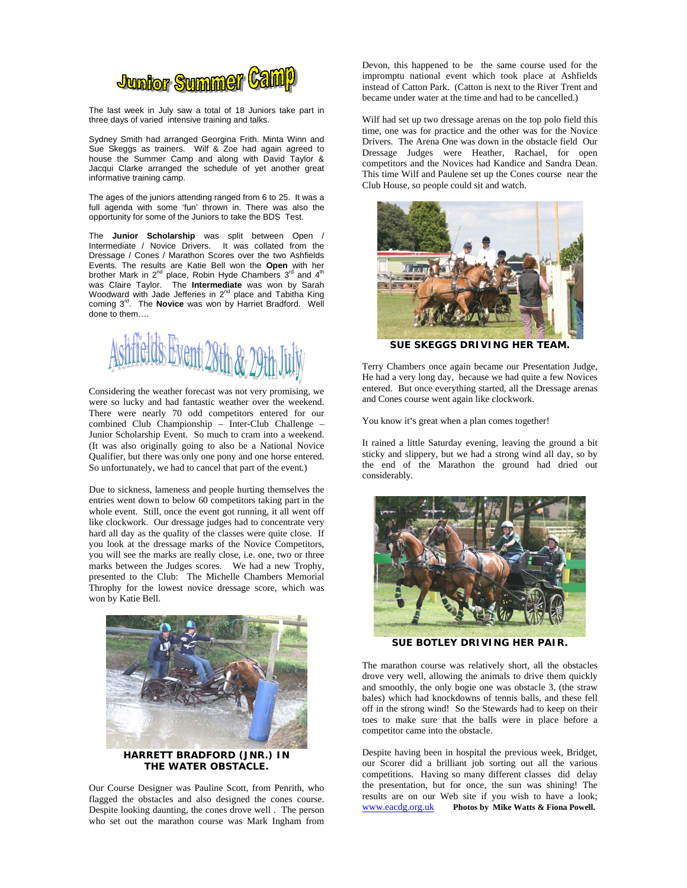

The last week in July saw a total of 18 Juniors take part in three days of varied intensive training and talks.

Sydney Smith had arranged Georgina Frith. Minta Winn and Sue Skeggs as trainers. Wilf & Zoe had again agreed to house the Summer Camp and along with David Taylor & Jacqui Clarke arranged the schedule of yet another great informative training camp.

The ages of the juniors attending ranged from 6 to 25. It was a full agenda with some 'fun' thrown in. There was also the opportunity for some of the Juniors to take the BDS Test.

The **Junior Scholarship** was split between Open / Intermediate / Novice Drivers. It was collated from the Dressage / Cones / Marathon Scores over the two Ashfields Events. The results are Katie Bell won the **Open** with her brother Mark in 2<sup>nd</sup> place, Robin Hyde Chambers 3<sup>rd</sup> and 4<sup>th</sup> was Claire Taylor. The **Intermediate** was won by Sarah Woodward with Jade Jefferies in  $2^{nd}$  place and Tabitha King coming 3<sup>rd</sup>. The **Novice** was won by Harriet Bradford. Well done to them….



Considering the weather forecast was not very promising, we were so lucky and had fantastic weather over the weekend. There were nearly 70 odd competitors entered for our combined Club Championship – Inter-Club Challenge – Junior Scholarship Event. So much to cram into a weekend. (It was also originally going to also be a National Novice Qualifier, but there was only one pony and one horse entered. So unfortunately, we had to cancel that part of the event.)

Due to sickness, lameness and people hurting themselves the entries went down to below 60 competitors taking part in the whole event. Still, once the event got running, it all went off like clockwork. Our dressage judges had to concentrate very hard all day as the quality of the classes were quite close. If you look at the dressage marks of the Novice Competitors, you will see the marks are really close, i.e. one, two or three marks between the Judges scores. We had a new Trophy, presented to the Club: The Michelle Chambers Memorial Throphy for the lowest novice dressage score, which was won by Katie Bell.



**THE WATER OBSTACLE.**

Our Course Designer was Pauline Scott, from Penrith, who flagged the obstacles and also designed the cones course. Despite looking daunting, the cones drove well . The person who set out the marathon course was Mark Ingham from Devon, this happened to be the same course used for the impromptu national event which took place at Ashfields instead of Catton Park. (Catton is next to the River Trent and became under water at the time and had to be cancelled.)

Wilf had set up two dressage arenas on the top polo field this time, one was for practice and the other was for the Novice Drivers. The Arena One was down in the obstacle field Our Dressage Judges were Heather, Rachael, for open competitors and the Novices had Kandice and Sandra Dean. This time Wilf and Paulene set up the Cones course near the Club House, so people could sit and watch.



**SUE SKEGGS DRIVING HER TEAM.** 

Terry Chambers once again became our Presentation Judge, He had a very long day, because we had quite a few Novices entered. But once everything started, all the Dressage arenas and Cones course went again like clockwork.

You know it's great when a plan comes together!

It rained a little Saturday evening, leaving the ground a bit sticky and slippery, but we had a strong wind all day, so by the end of the Marathon the ground had dried out considerably.



**SUE BOTLEY DRIVING HER PAIR.** 

The marathon course was relatively short, all the obstacles drove very well, allowing the animals to drive them quickly and smoothly, the only bogie one was obstacle 3, (the straw bales) which had knockdowns of tennis balls, and these fell off in the strong wind! So the Stewards had to keep on their toes to make sure that the balls were in place before a competitor came into the obstacle.

Despite having been in hospital the previous week, Bridget, our Scorer did a brilliant job sorting out all the various competitions. Having so many different classes did delay the presentation, but for once, the sun was shining! The results are on our Web site if you wish to have a look; www.eacdg.org.uk **Photos by Mike Watts & Fiona Powell.**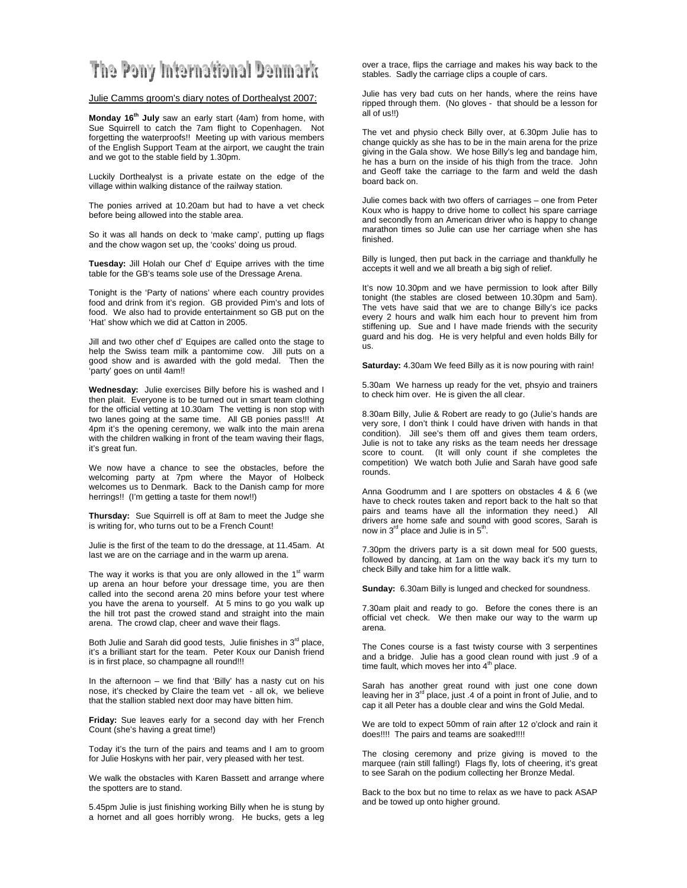## The Pony International Denmark

#### Julie Camms groom's diary notes of Dorthealyst 2007:

**Monday 16th July** saw an early start (4am) from home, with Sue Squirrell to catch the 7am flight to Copenhagen. Not forgetting the waterproofs!! Meeting up with various members of the English Support Team at the airport, we caught the train and we got to the stable field by 1.30pm.

Luckily Dorthealyst is a private estate on the edge of the village within walking distance of the railway station.

The ponies arrived at 10.20am but had to have a vet check before being allowed into the stable area.

So it was all hands on deck to 'make camp', putting up flags and the chow wagon set up, the 'cooks' doing us proud.

**Tuesday:** Jill Holah our Chef d' Equipe arrives with the time table for the GB's teams sole use of the Dressage Arena.

Tonight is the 'Party of nations' where each country provides food and drink from it's region. GB provided Pim's and lots of food. We also had to provide entertainment so GB put on the 'Hat' show which we did at Catton in 2005.

Jill and two other chef d' Equipes are called onto the stage to help the Swiss team milk a pantomime cow. Jill puts on a good show and is awarded with the gold medal. Then the 'party' goes on until 4am!!

**Wednesday:** Julie exercises Billy before his is washed and I then plait. Everyone is to be turned out in smart team clothing for the official vetting at 10.30am The vetting is non stop with two lanes going at the same time. All GB ponies pass!!! At 4pm it's the opening ceremony, we walk into the main arena with the children walking in front of the team waving their flags, it's great fun.

We now have a chance to see the obstacles, before the welcoming party at 7pm where the Mayor of Holbeck welcomes us to Denmark. Back to the Danish camp for more herrings!! (I'm getting a taste for them now!!)

**Thursday:** Sue Squirrell is off at 8am to meet the Judge she is writing for, who turns out to be a French Count!

Julie is the first of the team to do the dressage, at 11.45am. At last we are on the carriage and in the warm up arena.

The way it works is that you are only allowed in the  $1<sup>st</sup>$  warm up arena an hour before your dressage time, you are then called into the second arena 20 mins before your test where you have the arena to yourself. At 5 mins to go you walk up the hill trot past the crowed stand and straight into the main arena. The crowd clap, cheer and wave their flags.

Both Julie and Sarah did good tests, Julie finishes in 3<sup>rd</sup> place, it's a brilliant start for the team. Peter Koux our Danish friend is in first place, so champagne all round!!!

In the afternoon – we find that 'Billy' has a nasty cut on his nose, it's checked by Claire the team vet - all ok, we believe that the stallion stabled next door may have bitten him.

**Friday:** Sue leaves early for a second day with her French Count (she's having a great time!)

Today it's the turn of the pairs and teams and I am to groom for Julie Hoskyns with her pair, very pleased with her test.

We walk the obstacles with Karen Bassett and arrange where the spotters are to stand.

5.45pm Julie is just finishing working Billy when he is stung by a hornet and all goes horribly wrong. He bucks, gets a leg

over a trace, flips the carriage and makes his way back to the stables. Sadly the carriage clips a couple of cars.

Julie has very bad cuts on her hands, where the reins have ripped through them. (No gloves - that should be a lesson for all of us!!)

The vet and physio check Billy over, at 6.30pm Julie has to change quickly as she has to be in the main arena for the prize giving in the Gala show. We hose Billy's leg and bandage him, he has a burn on the inside of his thigh from the trace. John and Geoff take the carriage to the farm and weld the dash board back on.

Julie comes back with two offers of carriages – one from Peter Koux who is happy to drive home to collect his spare carriage and secondly from an American driver who is happy to change marathon times so Julie can use her carriage when she has finished.

Billy is lunged, then put back in the carriage and thankfully he accepts it well and we all breath a big sigh of relief.

It's now 10.30pm and we have permission to look after Billy tonight (the stables are closed between 10.30pm and 5am). The vets have said that we are to change Billy's ice packs every 2 hours and walk him each hour to prevent him from stiffening up. Sue and I have made friends with the security guard and his dog. He is very helpful and even holds Billy for us.

**Saturday:** 4.30am We feed Billy as it is now pouring with rain!

5.30am We harness up ready for the vet, phsyio and trainers to check him over. He is given the all clear.

8.30am Billy, Julie & Robert are ready to go (Julie's hands are very sore, I don't think I could have driven with hands in that condition). Jill see's them off and gives them team orders, Julie is not to take any risks as the team needs her dressage score to count. (It will only count if she completes the competition) We watch both Julie and Sarah have good safe rounds.

Anna Goodrumm and I are spotters on obstacles 4 & 6 (we have to check routes taken and report back to the halt so that pairs and teams have all the information they need.) All drivers are home safe and sound with good scores, Sarah is now in  $3^{\text{rd}}$  place and Julie is in  $5^{\text{th}}$ .

7.30pm the drivers party is a sit down meal for 500 guests, followed by dancing, at 1am on the way back it's my turn to check Billy and take him for a little walk.

**Sunday:** 6.30am Billy is lunged and checked for soundness.

7.30am plait and ready to go. Before the cones there is an official vet check. We then make our way to the warm up arena.

The Cones course is a fast twisty course with 3 serpentines and a bridge. Julie has a good clean round with just .9 of a time fault, which moves her into  $4<sup>th</sup>$  place.

Sarah has another great round with just one cone down leaving her in  $3^{rd}$  place, just .4 of a point in front of Julie, and to cap it all Peter has a double clear and wins the Gold Medal.

We are told to expect 50mm of rain after 12 o'clock and rain it does!!!! The pairs and teams are soaked!!!!

The closing ceremony and prize giving is moved to the marquee (rain still falling!) Flags fly, lots of cheering, it's great to see Sarah on the podium collecting her Bronze Medal.

Back to the box but no time to relax as we have to pack ASAP and be towed up onto higher ground.